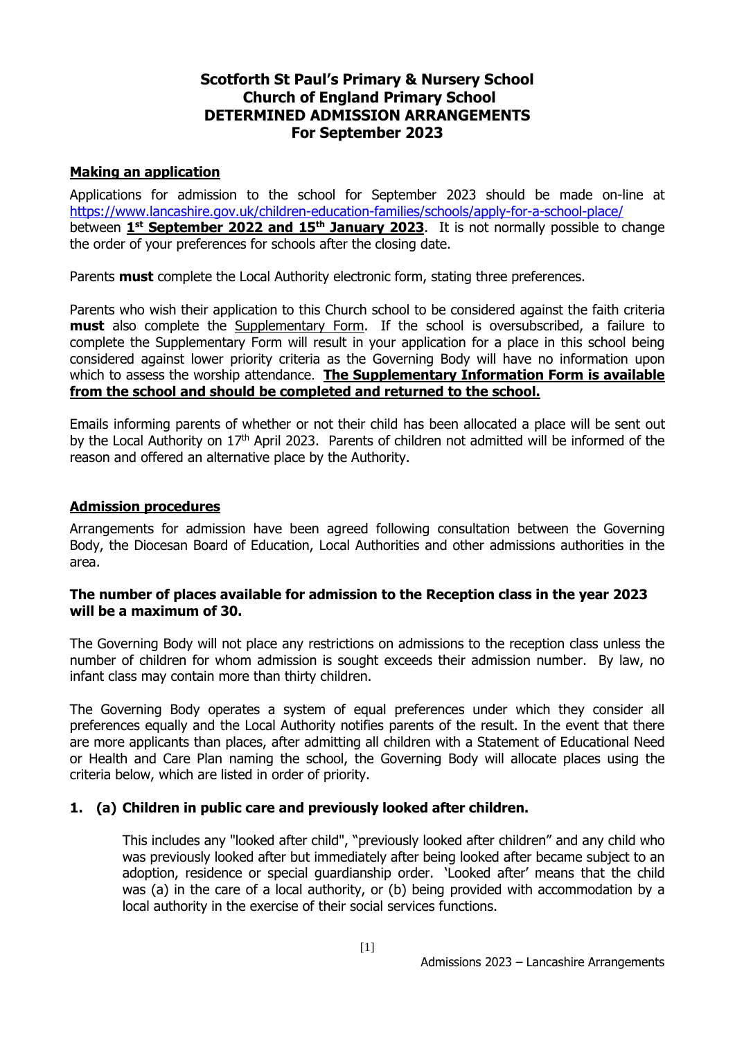# **Scotforth St Paul's Primary & Nursery School Church of England Primary School DETERMINED ADMISSION ARRANGEMENTS For September 2023**

## **Making an application**

Applications for admission to the school for September 2023 should be made on-line at <https://www.lancashire.gov.uk/children-education-families/schools/apply-for-a-school-place/> between **1 st September 2022 and 15th January 2023**. It is not normally possible to change the order of your preferences for schools after the closing date.

Parents **must** complete the Local Authority electronic form, stating three preferences.

Parents who wish their application to this Church school to be considered against the faith criteria **must** also complete the Supplementary Form. If the school is oversubscribed, a failure to complete the Supplementary Form will result in your application for a place in this school being considered against lower priority criteria as the Governing Body will have no information upon which to assess the worship attendance. **The Supplementary Information Form is available from the school and should be completed and returned to the school.**

Emails informing parents of whether or not their child has been allocated a place will be sent out by the Local Authority on 17<sup>th</sup> April 2023. Parents of children not admitted will be informed of the reason and offered an alternative place by the Authority.

## **Admission procedures**

Arrangements for admission have been agreed following consultation between the Governing Body, the Diocesan Board of Education, Local Authorities and other admissions authorities in the area.

## **The number of places available for admission to the Reception class in the year 2023 will be a maximum of 30.**

The Governing Body will not place any restrictions on admissions to the reception class unless the number of children for whom admission is sought exceeds their admission number. By law, no infant class may contain more than thirty children.

The Governing Body operates a system of equal preferences under which they consider all preferences equally and the Local Authority notifies parents of the result. In the event that there are more applicants than places, after admitting all children with a Statement of Educational Need or Health and Care Plan naming the school, the Governing Body will allocate places using the criteria below, which are listed in order of priority.

## **1. (a) Children in public care and previously looked after children.**

This includes any "looked after child", "previously looked after children" and any child who was previously looked after but immediately after being looked after became subject to an adoption, residence or special guardianship order. 'Looked after' means that the child was (a) in the care of a local authority, or (b) being provided with accommodation by a local authority in the exercise of their social services functions.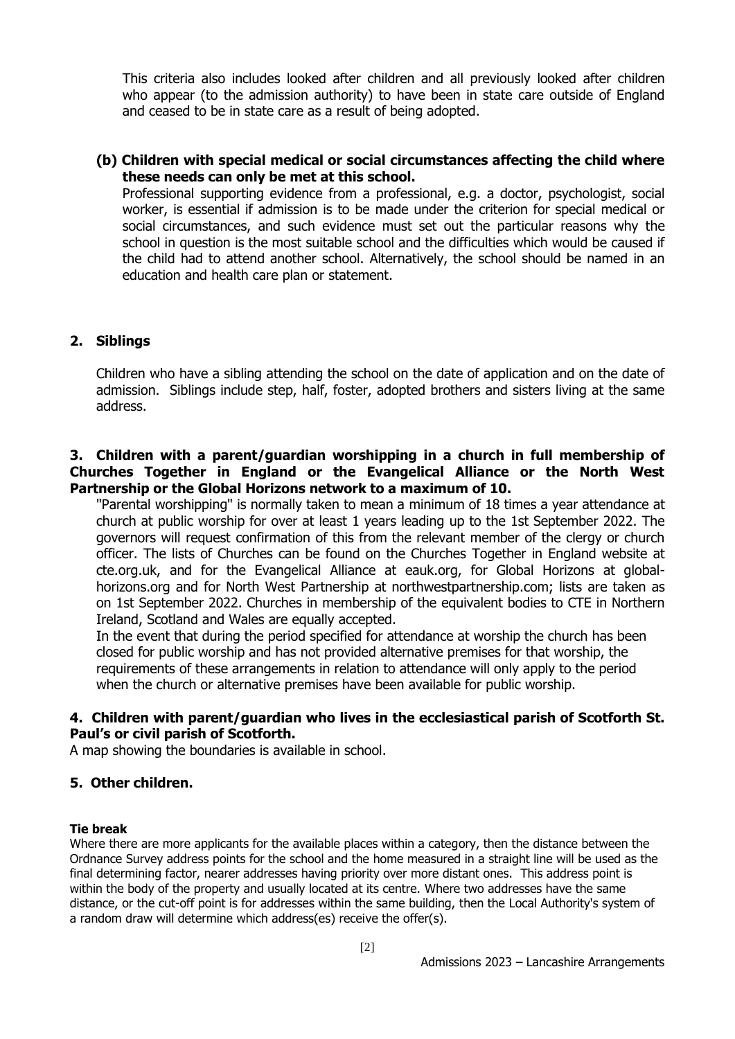This criteria also includes looked after children and all previously looked after children who appear (to the admission authority) to have been in state care outside of England and ceased to be in state care as a result of being adopted.

## **(b) Children with special medical or social circumstances affecting the child where these needs can only be met at this school.**

Professional supporting evidence from a professional, e.g. a doctor, psychologist, social worker, is essential if admission is to be made under the criterion for special medical or social circumstances, and such evidence must set out the particular reasons why the school in question is the most suitable school and the difficulties which would be caused if the child had to attend another school. Alternatively, the school should be named in an education and health care plan or statement.

## **2. Siblings**

Children who have a sibling attending the school on the date of application and on the date of admission. Siblings include step, half, foster, adopted brothers and sisters living at the same address.

## **3. Children with a parent/guardian worshipping in a church in full membership of Churches Together in England or the Evangelical Alliance or the North West Partnership or the Global Horizons network to a maximum of 10.**

"Parental worshipping" is normally taken to mean a minimum of 18 times a year attendance at church at public worship for over at least 1 years leading up to the 1st September 2022. The governors will request confirmation of this from the relevant member of the clergy or church officer. The lists of Churches can be found on the Churches Together in England website at cte.org.uk, and for the Evangelical Alliance at eauk.org, for Global Horizons at globalhorizons.org and for North West Partnership at northwestpartnership.com; lists are taken as on 1st September 2022. Churches in membership of the equivalent bodies to CTE in Northern Ireland, Scotland and Wales are equally accepted.

In the event that during the period specified for attendance at worship the church has been closed for public worship and has not provided alternative premises for that worship, the requirements of these arrangements in relation to attendance will only apply to the period when the church or alternative premises have been available for public worship.

## **4. Children with parent/guardian who lives in the ecclesiastical parish of Scotforth St. Paul's or civil parish of Scotforth.**

A map showing the boundaries is available in school.

## **5. Other children.**

#### **Tie break**

Where there are more applicants for the available places within a category, then the distance between the Ordnance Survey address points for the school and the home measured in a straight line will be used as the final determining factor, nearer addresses having priority over more distant ones. This address point is within the body of the property and usually located at its centre. Where two addresses have the same distance, or the cut-off point is for addresses within the same building, then the Local Authority's system of a random draw will determine which address(es) receive the offer(s).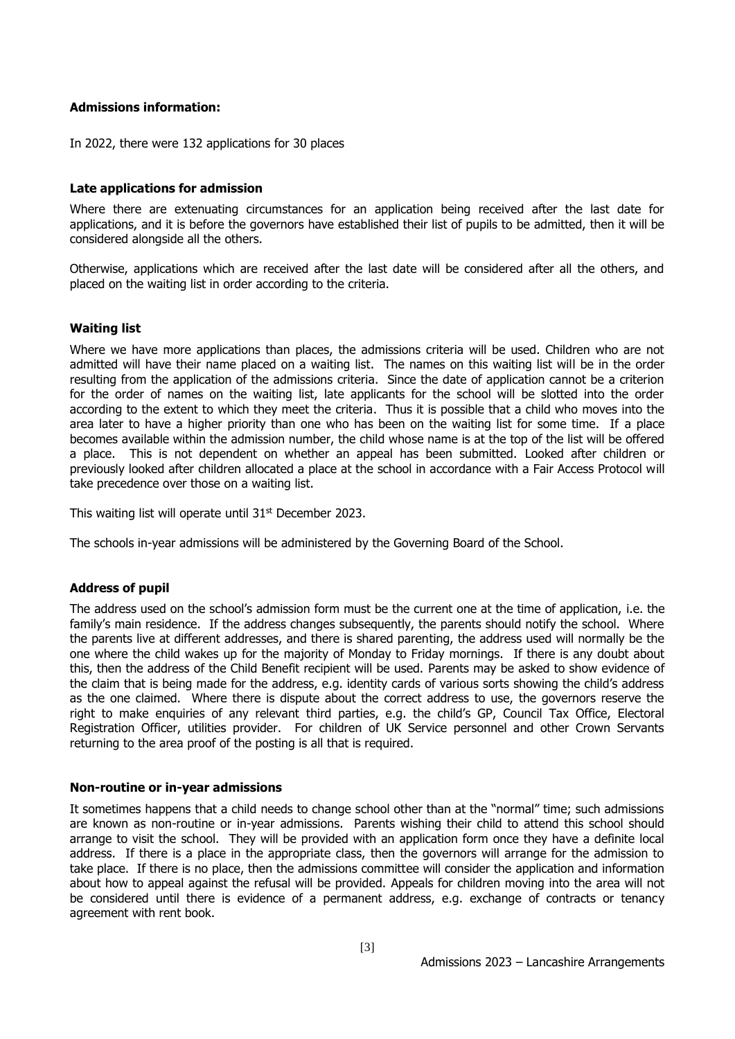#### **Admissions information:**

In 2022, there were 132 applications for 30 places

#### **Late applications for admission**

Where there are extenuating circumstances for an application being received after the last date for applications, and it is before the governors have established their list of pupils to be admitted, then it will be considered alongside all the others.

Otherwise, applications which are received after the last date will be considered after all the others, and placed on the waiting list in order according to the criteria.

#### **Waiting list**

Where we have more applications than places, the admissions criteria will be used. Children who are not admitted will have their name placed on a waiting list. The names on this waiting list will be in the order resulting from the application of the admissions criteria. Since the date of application cannot be a criterion for the order of names on the waiting list, late applicants for the school will be slotted into the order according to the extent to which they meet the criteria. Thus it is possible that a child who moves into the area later to have a higher priority than one who has been on the waiting list for some time. If a place becomes available within the admission number, the child whose name is at the top of the list will be offered a place. This is not dependent on whether an appeal has been submitted. Looked after children or previously looked after children allocated a place at the school in accordance with a Fair Access Protocol will take precedence over those on a waiting list.

This waiting list will operate until  $31<sup>st</sup>$  December 2023.

The schools in-year admissions will be administered by the Governing Board of the School.

#### **Address of pupil**

The address used on the school's admission form must be the current one at the time of application, i.e. the family's main residence. If the address changes subsequently, the parents should notify the school. Where the parents live at different addresses, and there is shared parenting, the address used will normally be the one where the child wakes up for the majority of Monday to Friday mornings. If there is any doubt about this, then the address of the Child Benefit recipient will be used. Parents may be asked to show evidence of the claim that is being made for the address, e.g. identity cards of various sorts showing the child's address as the one claimed. Where there is dispute about the correct address to use, the governors reserve the right to make enquiries of any relevant third parties, e.g. the child's GP, Council Tax Office, Electoral Registration Officer, utilities provider. For children of UK Service personnel and other Crown Servants returning to the area proof of the posting is all that is required.

#### **Non-routine or in-year admissions**

It sometimes happens that a child needs to change school other than at the "normal" time; such admissions are known as non-routine or in-year admissions. Parents wishing their child to attend this school should arrange to visit the school. They will be provided with an application form once they have a definite local address. If there is a place in the appropriate class, then the governors will arrange for the admission to take place. If there is no place, then the admissions committee will consider the application and information about how to appeal against the refusal will be provided. Appeals for children moving into the area will not be considered until there is evidence of a permanent address, e.g. exchange of contracts or tenancy agreement with rent book.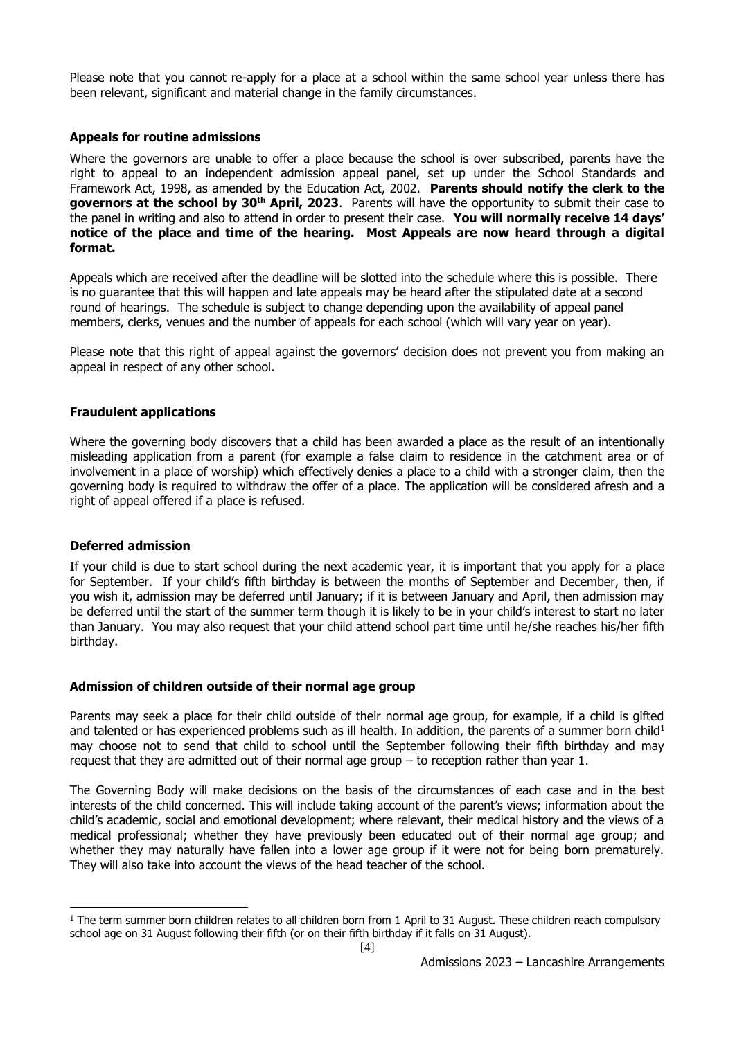Please note that you cannot re-apply for a place at a school within the same school year unless there has been relevant, significant and material change in the family circumstances.

#### **Appeals for routine admissions**

Where the governors are unable to offer a place because the school is over subscribed, parents have the right to appeal to an independent admission appeal panel, set up under the School Standards and Framework Act, 1998, as amended by the Education Act, 2002. **Parents should notify the clerk to the governors at the school by 30th April, 2023**. Parents will have the opportunity to submit their case to the panel in writing and also to attend in order to present their case. **You will normally receive 14 days' notice of the place and time of the hearing. Most Appeals are now heard through a digital format.**

Appeals which are received after the deadline will be slotted into the schedule where this is possible. There is no guarantee that this will happen and late appeals may be heard after the stipulated date at a second round of hearings. The schedule is subject to change depending upon the availability of appeal panel members, clerks, venues and the number of appeals for each school (which will vary year on year).

Please note that this right of appeal against the governors' decision does not prevent you from making an appeal in respect of any other school.

#### **Fraudulent applications**

Where the governing body discovers that a child has been awarded a place as the result of an intentionally misleading application from a parent (for example a false claim to residence in the catchment area or of involvement in a place of worship) which effectively denies a place to a child with a stronger claim, then the governing body is required to withdraw the offer of a place. The application will be considered afresh and a right of appeal offered if a place is refused.

#### **Deferred admission**

 $\overline{a}$ 

If your child is due to start school during the next academic year, it is important that you apply for a place for September. If your child's fifth birthday is between the months of September and December, then, if you wish it, admission may be deferred until January; if it is between January and April, then admission may be deferred until the start of the summer term though it is likely to be in your child's interest to start no later than January. You may also request that your child attend school part time until he/she reaches his/her fifth birthday.

#### **Admission of children outside of their normal age group**

Parents may seek a place for their child outside of their normal age group, for example, if a child is gifted and talented or has experienced problems such as ill health. In addition, the parents of a summer born child<sup>1</sup> may choose not to send that child to school until the September following their fifth birthday and may request that they are admitted out of their normal age group – to reception rather than year 1.

The Governing Body will make decisions on the basis of the circumstances of each case and in the best interests of the child concerned. This will include taking account of the parent's views; information about the child's academic, social and emotional development; where relevant, their medical history and the views of a medical professional; whether they have previously been educated out of their normal age group; and whether they may naturally have fallen into a lower age group if it were not for being born prematurely. They will also take into account the views of the head teacher of the school.

 $1$  The term summer born children relates to all children born from 1 April to 31 August. These children reach compulsory school age on 31 August following their fifth (or on their fifth birthday if it falls on 31 August).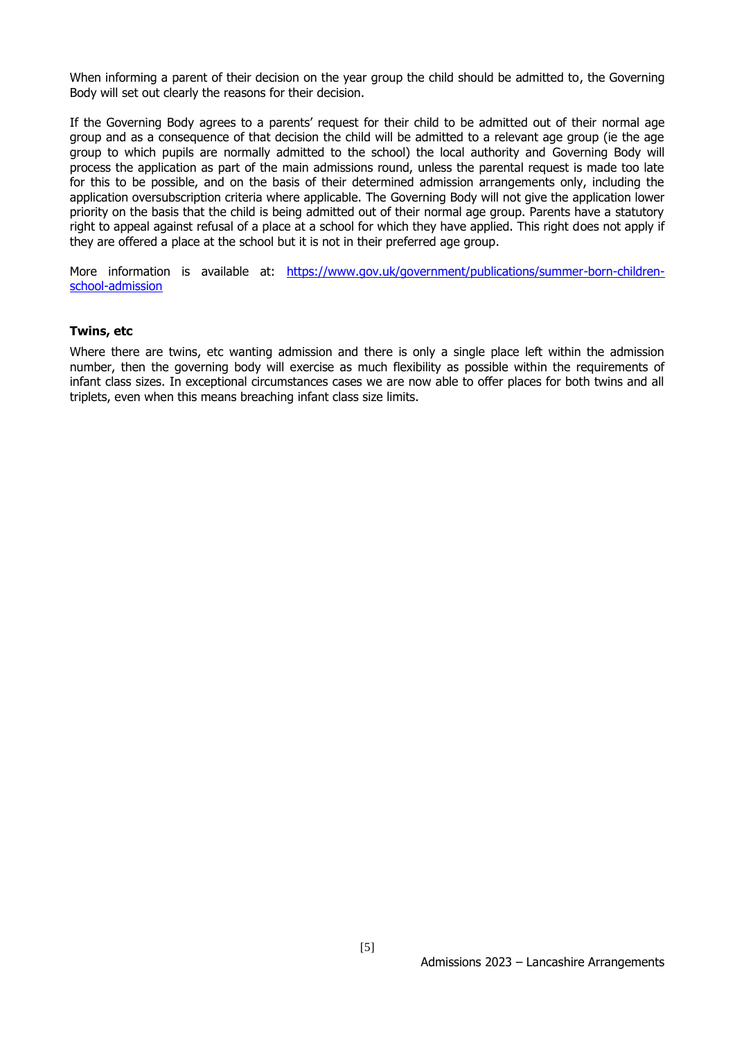When informing a parent of their decision on the year group the child should be admitted to, the Governing Body will set out clearly the reasons for their decision.

If the Governing Body agrees to a parents' request for their child to be admitted out of their normal age group and as a consequence of that decision the child will be admitted to a relevant age group (ie the age group to which pupils are normally admitted to the school) the local authority and Governing Body will process the application as part of the main admissions round, unless the parental request is made too late for this to be possible, and on the basis of their determined admission arrangements only, including the application oversubscription criteria where applicable. The Governing Body will not give the application lower priority on the basis that the child is being admitted out of their normal age group. Parents have a statutory right to appeal against refusal of a place at a school for which they have applied. This right does not apply if they are offered a place at the school but it is not in their preferred age group.

More information is available at: [https://www.gov.uk/government/publications/summer-born-children](https://www.gov.uk/government/publications/summer-born-children-school-admission)[school-admission](https://www.gov.uk/government/publications/summer-born-children-school-admission)

#### **Twins, etc**

Where there are twins, etc wanting admission and there is only a single place left within the admission number, then the governing body will exercise as much flexibility as possible within the requirements of infant class sizes. In exceptional circumstances cases we are now able to offer places for both twins and all triplets, even when this means breaching infant class size limits.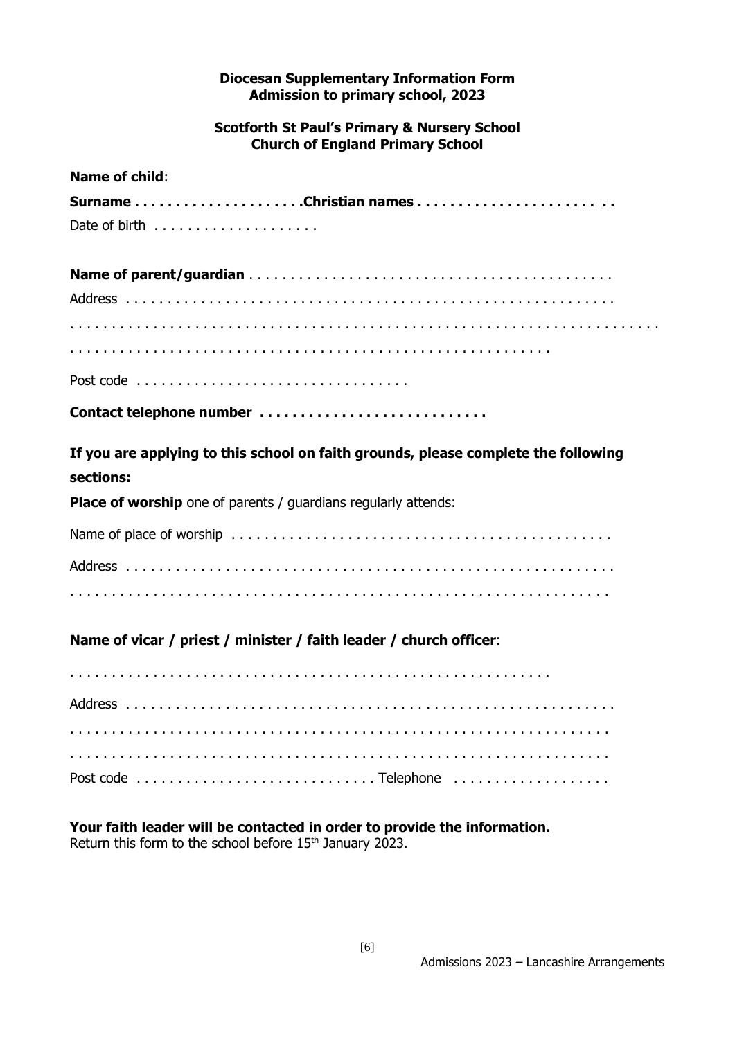## **Diocesan Supplementary Information Form Admission to primary school, 2023**

## **Scotforth St Paul's Primary & Nursery School Church of England Primary School**

# **Name of child**:

Post code . . . . . . . . . . . . . . . . . . . . . . . . . . . . . . . . .

|  | Contact telephone number |
|--|--------------------------|
|--|--------------------------|

**If you are applying to this school on faith grounds, please complete the following sections:**

**Place of worship** one of parents / quardians regularly attends:

# **Name of vicar / priest / minister / faith leader / church officer**:

## **Your faith leader will be contacted in order to provide the information.** Return this form to the school before 15<sup>th</sup> January 2023.